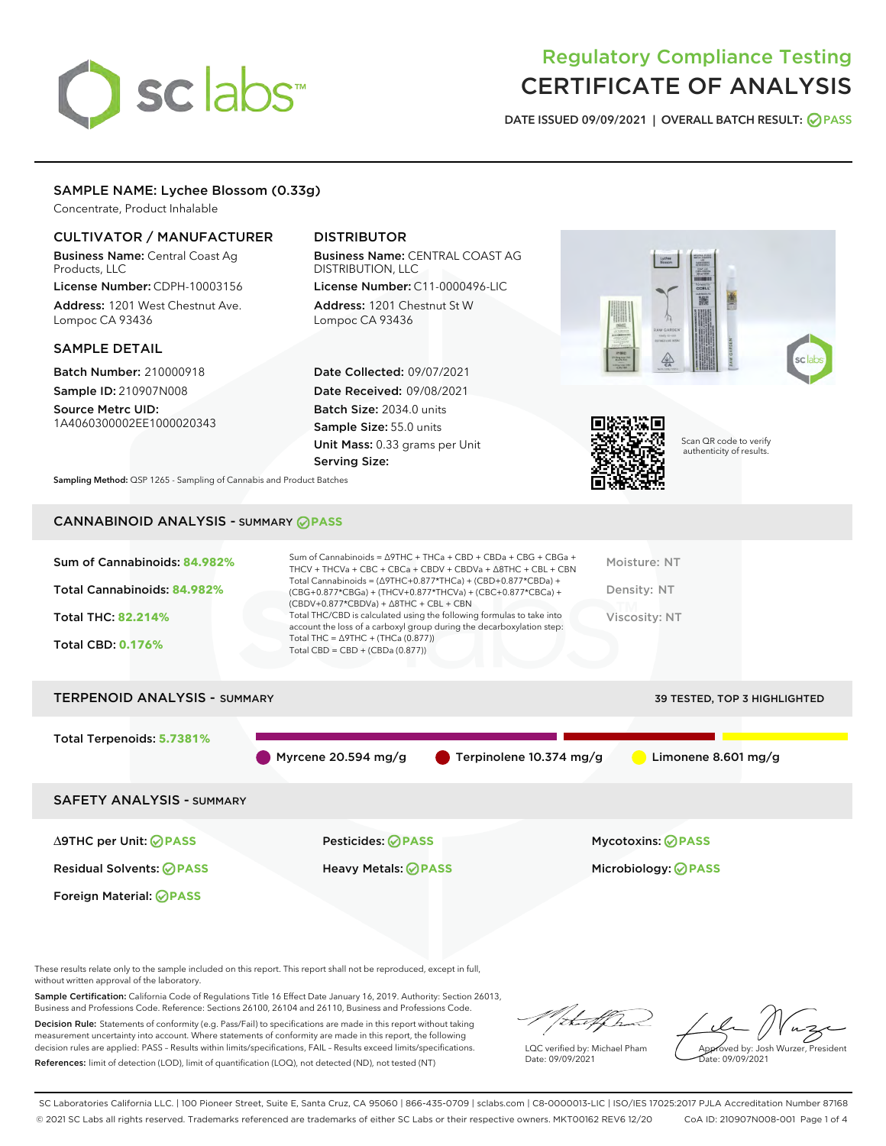# sclabs<sup>\*</sup>

# Regulatory Compliance Testing CERTIFICATE OF ANALYSIS

DATE ISSUED 09/09/2021 | OVERALL BATCH RESULT: @ PASS

#### SAMPLE NAME: Lychee Blossom (0.33g)

Concentrate, Product Inhalable

#### CULTIVATOR / MANUFACTURER

Business Name: Central Coast Ag Products, LLC

License Number: CDPH-10003156 Address: 1201 West Chestnut Ave. Lompoc CA 93436

#### SAMPLE DETAIL

Batch Number: 210000918 Sample ID: 210907N008

Source Metrc UID: 1A4060300002EE1000020343

Foreign Material: **PASS**

### DISTRIBUTOR

Business Name: CENTRAL COAST AG DISTRIBUTION, LLC License Number: C11-0000496-LIC

Address: 1201 Chestnut St W Lompoc CA 93436

Date Collected: 09/07/2021 Date Received: 09/08/2021 Batch Size: 2034.0 units Sample Size: 55.0 units Unit Mass: 0.33 grams per Unit Serving Size:





Scan QR code to verify authenticity of results.

Sampling Method: QSP 1265 - Sampling of Cannabis and Product Batches

## CANNABINOID ANALYSIS - SUMMARY **PASS**

| Sum of Cannabinoids: 84.982%<br>Total Cannabinoids: 84.982%<br><b>Total THC: 82.214%</b><br><b>Total CBD: 0.176%</b> | Sum of Cannabinoids = $\triangle$ 9THC + THCa + CBD + CBDa + CBG + CBGa +<br>THCV + THCVa + CBC + CBCa + CBDV + CBDVa + $\Delta$ 8THC + CBL + CBN<br>Total Cannabinoids = $(\Delta$ 9THC+0.877*THCa) + (CBD+0.877*CBDa) +<br>(CBG+0.877*CBGa) + (THCV+0.877*THCVa) + (CBC+0.877*CBCa) +<br>$(CBDV+0.877*CBDVa) + \Delta 8THC + CBL + CBN$<br>Total THC/CBD is calculated using the following formulas to take into<br>account the loss of a carboxyl group during the decarboxylation step:<br>Total THC = $\triangle$ 9THC + (THCa (0.877))<br>Total CBD = $CBD + (CBDa (0.877))$ | Moisture: NT<br>Density: NT<br><b>Viscosity: NT</b> |
|----------------------------------------------------------------------------------------------------------------------|------------------------------------------------------------------------------------------------------------------------------------------------------------------------------------------------------------------------------------------------------------------------------------------------------------------------------------------------------------------------------------------------------------------------------------------------------------------------------------------------------------------------------------------------------------------------------------|-----------------------------------------------------|
| <b>TERPENOID ANALYSIS - SUMMARY</b>                                                                                  |                                                                                                                                                                                                                                                                                                                                                                                                                                                                                                                                                                                    | 39 TESTED, TOP 3 HIGHLIGHTED                        |
| Total Terpenoids: 5.7381%                                                                                            | Myrcene 20.594 mg/g<br>Terpinolene 10.374 mg/g                                                                                                                                                                                                                                                                                                                                                                                                                                                                                                                                     | Limonene 8.601 mg/g                                 |
| <b>SAFETY ANALYSIS - SUMMARY</b>                                                                                     |                                                                                                                                                                                                                                                                                                                                                                                                                                                                                                                                                                                    |                                                     |
| ∆9THC per Unit: ⊘PASS                                                                                                | Pesticides: ⊘PASS                                                                                                                                                                                                                                                                                                                                                                                                                                                                                                                                                                  | <b>Mycotoxins: ⊘PASS</b>                            |

Residual Solvents: **PASS** Heavy Metals: **PASS** Microbiology: **PASS**

These results relate only to the sample included on this report. This report shall not be reproduced, except in full, without written approval of the laboratory.

Sample Certification: California Code of Regulations Title 16 Effect Date January 16, 2019. Authority: Section 26013, Business and Professions Code. Reference: Sections 26100, 26104 and 26110, Business and Professions Code.

Decision Rule: Statements of conformity (e.g. Pass/Fail) to specifications are made in this report without taking measurement uncertainty into account. Where statements of conformity are made in this report, the following decision rules are applied: PASS – Results within limits/specifications, FAIL – Results exceed limits/specifications. References: limit of detection (LOD), limit of quantification (LOQ), not detected (ND), not tested (NT)

that f h

LQC verified by: Michael Pham Date: 09/09/2021

Approved by: Josh Wurzer, President ate: 09/09/2021

SC Laboratories California LLC. | 100 Pioneer Street, Suite E, Santa Cruz, CA 95060 | 866-435-0709 | sclabs.com | C8-0000013-LIC | ISO/IES 17025:2017 PJLA Accreditation Number 87168 © 2021 SC Labs all rights reserved. Trademarks referenced are trademarks of either SC Labs or their respective owners. MKT00162 REV6 12/20 CoA ID: 210907N008-001 Page 1 of 4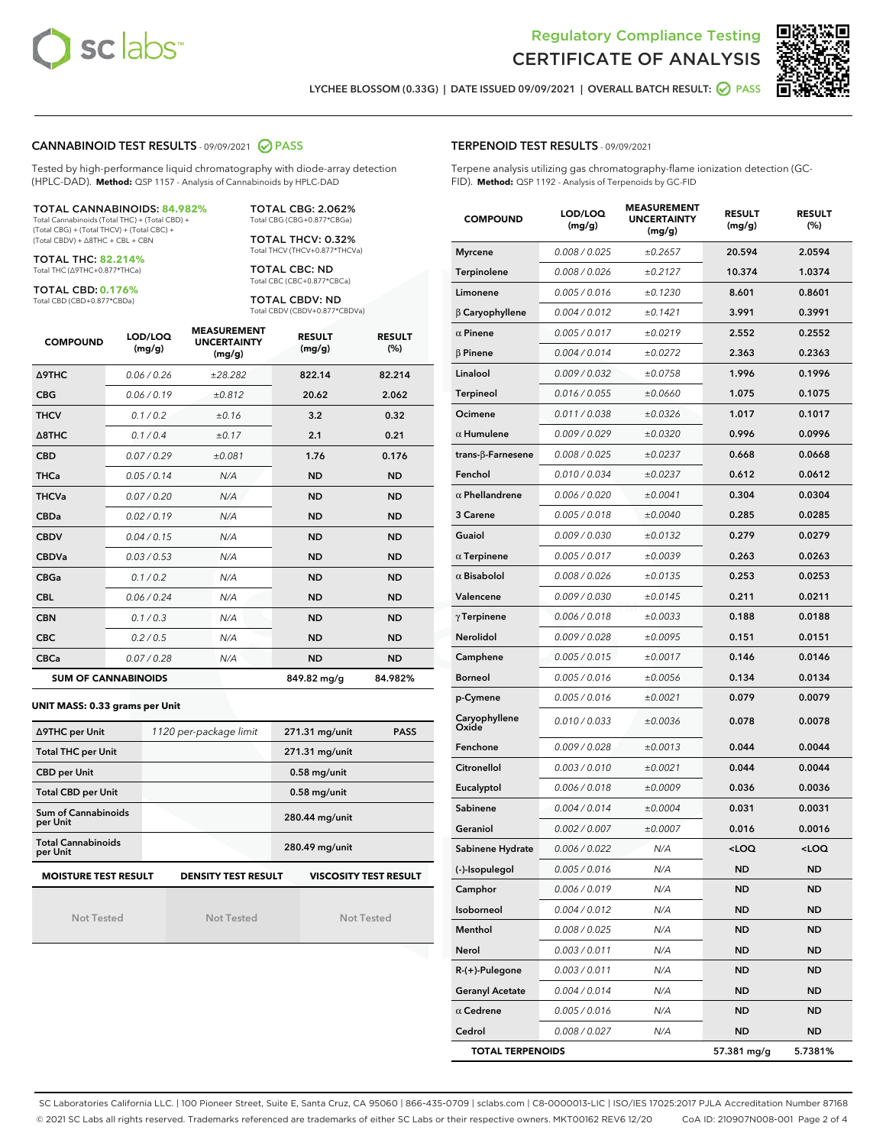



LYCHEE BLOSSOM (0.33G) | DATE ISSUED 09/09/2021 | OVERALL BATCH RESULT: 2 PASS

#### CANNABINOID TEST RESULTS - 09/09/2021 2 PASS

Tested by high-performance liquid chromatography with diode-array detection (HPLC-DAD). **Method:** QSP 1157 - Analysis of Cannabinoids by HPLC-DAD

#### TOTAL CANNABINOIDS: **84.982%**

Total Cannabinoids (Total THC) + (Total CBD) + (Total CBG) + (Total THCV) + (Total CBC) + (Total CBDV) + ∆8THC + CBL + CBN

TOTAL THC: **82.214%** Total THC (∆9THC+0.877\*THCa)

TOTAL CBD: **0.176%**

Total CBD (CBD+0.877\*CBDa)

TOTAL CBG: 2.062% Total CBG (CBG+0.877\*CBGa)

TOTAL THCV: 0.32% Total THCV (THCV+0.877\*THCVa)

TOTAL CBC: ND Total CBC (CBC+0.877\*CBCa)

TOTAL CBDV: ND Total CBDV (CBDV+0.877\*CBDVa)

| <b>COMPOUND</b>  | LOD/LOQ<br>(mg/g)          | <b>MEASUREMENT</b><br><b>UNCERTAINTY</b><br>(mg/g) | <b>RESULT</b><br>(mg/g) | <b>RESULT</b><br>(%) |
|------------------|----------------------------|----------------------------------------------------|-------------------------|----------------------|
| <b>A9THC</b>     | 0.06/0.26                  | ±28.282                                            | 822.14                  | 82.214               |
| <b>CBG</b>       | 0.06/0.19                  | ±0.812                                             | 20.62                   | 2.062                |
| <b>THCV</b>      | 0.1 / 0.2                  | ±0.16                                              | 3.2                     | 0.32                 |
| $\triangle$ 8THC | 0.1/0.4                    | ±0.17                                              | 2.1                     | 0.21                 |
| <b>CBD</b>       | 0.07/0.29                  | ±0.081                                             | 1.76                    | 0.176                |
| <b>THCa</b>      | 0.05/0.14                  | N/A                                                | <b>ND</b>               | <b>ND</b>            |
| <b>THCVa</b>     | 0.07/0.20                  | N/A                                                | <b>ND</b>               | <b>ND</b>            |
| <b>CBDa</b>      | 0.02/0.19                  | N/A                                                | <b>ND</b>               | <b>ND</b>            |
| <b>CBDV</b>      | 0.04/0.15                  | N/A                                                | <b>ND</b>               | <b>ND</b>            |
| <b>CBDVa</b>     | 0.03/0.53                  | N/A                                                | <b>ND</b>               | <b>ND</b>            |
| <b>CBGa</b>      | 0.1 / 0.2                  | N/A                                                | <b>ND</b>               | <b>ND</b>            |
| <b>CBL</b>       | 0.06/0.24                  | N/A                                                | <b>ND</b>               | <b>ND</b>            |
| <b>CBN</b>       | 0.1/0.3                    | N/A                                                | <b>ND</b>               | <b>ND</b>            |
| <b>CBC</b>       | 0.2 / 0.5                  | N/A                                                | <b>ND</b>               | <b>ND</b>            |
| <b>CBCa</b>      | 0.07 / 0.28                | N/A                                                | <b>ND</b>               | <b>ND</b>            |
|                  | <b>SUM OF CANNABINOIDS</b> |                                                    | 849.82 mg/g             | 84.982%              |

#### **UNIT MASS: 0.33 grams per Unit**

| ∆9THC per Unit                        | 1120 per-package limit     | 271.31 mg/unit<br><b>PASS</b> |  |  |
|---------------------------------------|----------------------------|-------------------------------|--|--|
| <b>Total THC per Unit</b>             |                            | 271.31 mg/unit                |  |  |
| <b>CBD per Unit</b>                   |                            | $0.58$ mg/unit                |  |  |
| <b>Total CBD per Unit</b>             |                            | $0.58$ mg/unit                |  |  |
| Sum of Cannabinoids<br>per Unit       |                            | 280.44 mg/unit                |  |  |
| <b>Total Cannabinoids</b><br>per Unit |                            | 280.49 mg/unit                |  |  |
| <b>MOISTURE TEST RESULT</b>           | <b>DENSITY TEST RESULT</b> | <b>VISCOSITY TEST RESULT</b>  |  |  |

Not Tested

Not Tested

Not Tested

#### TERPENOID TEST RESULTS - 09/09/2021

Terpene analysis utilizing gas chromatography-flame ionization detection (GC-FID). **Method:** QSP 1192 - Analysis of Terpenoids by GC-FID

| <b>COMPOUND</b>         | LOD/LOQ<br>(mg/g) | <b>MEASUREMENT</b><br><b>UNCERTAINTY</b><br>(mg/g) | <b>RESULT</b><br>(mg/g)                         | <b>RESULT</b><br>$(\%)$ |
|-------------------------|-------------------|----------------------------------------------------|-------------------------------------------------|-------------------------|
| <b>Myrcene</b>          | 0.008 / 0.025     | ±0.2657                                            | 20.594                                          | 2.0594                  |
| Terpinolene             | 0.008 / 0.026     | ±0.2127                                            | 10.374                                          | 1.0374                  |
| Limonene                | 0.005 / 0.016     | ±0.1230                                            | 8.601                                           | 0.8601                  |
| $\beta$ Caryophyllene   | 0.004 / 0.012     | ±0.1421                                            | 3.991                                           | 0.3991                  |
| $\alpha$ Pinene         | 0.005 / 0.017     | ±0.0219                                            | 2.552                                           | 0.2552                  |
| <b>B</b> Pinene         | 0.004 / 0.014     | ±0.0272                                            | 2.363                                           | 0.2363                  |
| Linalool                | 0.009 / 0.032     | ±0.0758                                            | 1.996                                           | 0.1996                  |
| Terpineol               | 0.016 / 0.055     | ±0.0660                                            | 1.075                                           | 0.1075                  |
| Ocimene                 | 0.011 / 0.038     | ±0.0326                                            | 1.017                                           | 0.1017                  |
| $\alpha$ Humulene       | 0.009 / 0.029     | ±0.0320                                            | 0.996                                           | 0.0996                  |
| trans-β-Farnesene       | 0.008 / 0.025     | ±0.0237                                            | 0.668                                           | 0.0668                  |
| Fenchol                 | 0.010 / 0.034     | ±0.0237                                            | 0.612                                           | 0.0612                  |
| $\alpha$ Phellandrene   | 0.006 / 0.020     | ±0.0041                                            | 0.304                                           | 0.0304                  |
| 3 Carene                | 0.005 / 0.018     | ±0.0040                                            | 0.285                                           | 0.0285                  |
| Guaiol                  | 0.009 / 0.030     | ±0.0132                                            | 0.279                                           | 0.0279                  |
| $\alpha$ Terpinene      | 0.005 / 0.017     | ±0.0039                                            | 0.263                                           | 0.0263                  |
| $\alpha$ Bisabolol      | 0.008 / 0.026     | ±0.0135                                            | 0.253                                           | 0.0253                  |
| Valencene               | 0.009 / 0.030     | ±0.0145                                            | 0.211                                           | 0.0211                  |
| $\gamma$ Terpinene      | 0.006 / 0.018     | ±0.0033                                            | 0.188                                           | 0.0188                  |
| Nerolidol               | 0.009 / 0.028     | ±0.0095                                            | 0.151                                           | 0.0151                  |
| Camphene                | 0.005 / 0.015     | ±0.0017                                            | 0.146                                           | 0.0146                  |
| <b>Borneol</b>          | 0.005 / 0.016     | ±0.0056                                            | 0.134                                           | 0.0134                  |
| p-Cymene                | 0.005 / 0.016     | ±0.0021                                            | 0.079                                           | 0.0079                  |
| Caryophyllene<br>Oxide  | 0.010 / 0.033     | ±0.0036                                            | 0.078                                           | 0.0078                  |
| Fenchone                | 0.009 / 0.028     | ±0.0013                                            | 0.044                                           | 0.0044                  |
| Citronellol             | 0.003 / 0.010     | ±0.0021                                            | 0.044                                           | 0.0044                  |
| Eucalyptol              | 0.006 / 0.018     | ±0.0009                                            | 0.036                                           | 0.0036                  |
| Sabinene                | 0.004 / 0.014     | ±0.0004                                            | 0.031                                           | 0.0031                  |
| Geraniol                | 0.002 / 0.007     | ±0.0007                                            | 0.016                                           | 0.0016                  |
| Sabinene Hydrate        | 0.006 / 0.022     | N/A                                                | <loq< th=""><th><loq< th=""></loq<></th></loq<> | <loq< th=""></loq<>     |
| (-)-Isopulegol          | 0.005 / 0.016     | N/A                                                | ND                                              | ND                      |
| Camphor                 | 0.006 / 0.019     | N/A                                                | ND                                              | <b>ND</b>               |
| Isoborneol              | 0.004 / 0.012     | N/A                                                | ND                                              | <b>ND</b>               |
| Menthol                 | 0.008 / 0.025     | N/A                                                | ND                                              | ND                      |
| Nerol                   | 0.003 / 0.011     | N/A                                                | ND                                              | ND                      |
| R-(+)-Pulegone          | 0.003 / 0.011     | N/A                                                | ND                                              | <b>ND</b>               |
| <b>Geranyl Acetate</b>  | 0.004 / 0.014     | N/A                                                | ND                                              | ND                      |
| $\alpha$ Cedrene        | 0.005 / 0.016     | N/A                                                | ND                                              | ND                      |
| Cedrol                  | 0.008 / 0.027     | N/A                                                | ND                                              | <b>ND</b>               |
| <b>TOTAL TERPENOIDS</b> |                   |                                                    | 57.381 mg/g                                     | 5.7381%                 |

SC Laboratories California LLC. | 100 Pioneer Street, Suite E, Santa Cruz, CA 95060 | 866-435-0709 | sclabs.com | C8-0000013-LIC | ISO/IES 17025:2017 PJLA Accreditation Number 87168 © 2021 SC Labs all rights reserved. Trademarks referenced are trademarks of either SC Labs or their respective owners. MKT00162 REV6 12/20 CoA ID: 210907N008-001 Page 2 of 4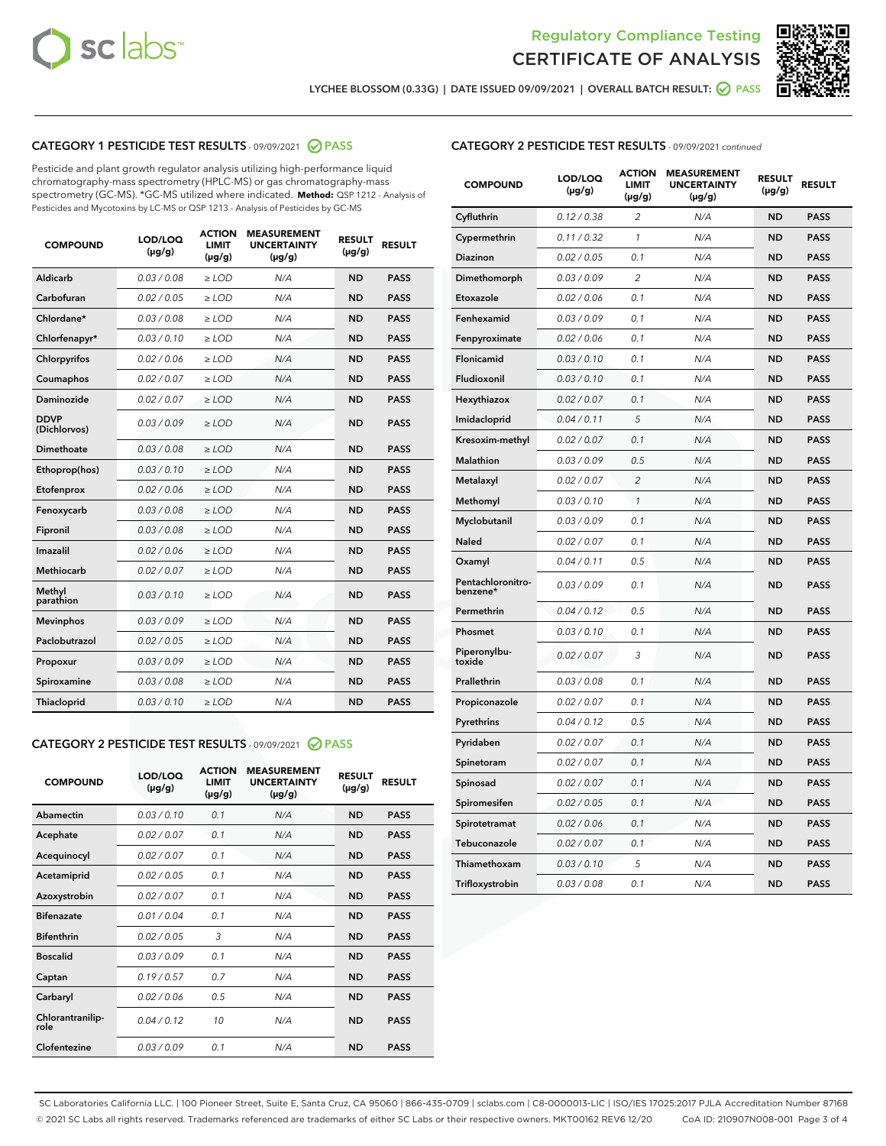



LYCHEE BLOSSOM (0.33G) | DATE ISSUED 09/09/2021 | OVERALL BATCH RESULT: @ PASS

#### CATEGORY 1 PESTICIDE TEST RESULTS - 09/09/2021 2 PASS

Pesticide and plant growth regulator analysis utilizing high-performance liquid chromatography-mass spectrometry (HPLC-MS) or gas chromatography-mass spectrometry (GC-MS). \*GC-MS utilized where indicated. **Method:** QSP 1212 - Analysis of Pesticides and Mycotoxins by LC-MS or QSP 1213 - Analysis of Pesticides by GC-MS

| <b>COMPOUND</b>             | LOD/LOQ<br>$(\mu g/g)$ | <b>ACTION</b><br><b>LIMIT</b><br>$(\mu g/g)$ | <b>MEASUREMENT</b><br><b>UNCERTAINTY</b><br>$(\mu g/g)$ | <b>RESULT</b><br>$(\mu g/g)$ | <b>RESULT</b> |
|-----------------------------|------------------------|----------------------------------------------|---------------------------------------------------------|------------------------------|---------------|
| Aldicarb                    | 0.03/0.08              | $>$ LOD                                      | N/A                                                     | <b>ND</b>                    | <b>PASS</b>   |
| Carbofuran                  | 0.02 / 0.05            | $\ge$ LOD                                    | N/A                                                     | <b>ND</b>                    | <b>PASS</b>   |
| Chlordane*                  | 0.03 / 0.08            | $\geq$ LOD                                   | N/A                                                     | <b>ND</b>                    | <b>PASS</b>   |
| Chlorfenapyr*               | 0.03/0.10              | $\ge$ LOD                                    | N/A                                                     | <b>ND</b>                    | <b>PASS</b>   |
| Chlorpyrifos                | 0.02 / 0.06            | $\ge$ LOD                                    | N/A                                                     | <b>ND</b>                    | <b>PASS</b>   |
| Coumaphos                   | 0.02 / 0.07            | $\ge$ LOD                                    | N/A                                                     | <b>ND</b>                    | <b>PASS</b>   |
| Daminozide                  | 0.02/0.07              | $>$ LOD                                      | N/A                                                     | <b>ND</b>                    | <b>PASS</b>   |
| <b>DDVP</b><br>(Dichlorvos) | 0.03/0.09              | $\ge$ LOD                                    | N/A                                                     | <b>ND</b>                    | <b>PASS</b>   |
| <b>Dimethoate</b>           | 0.03/0.08              | $\ge$ LOD                                    | N/A                                                     | <b>ND</b>                    | <b>PASS</b>   |
| Ethoprop(hos)               | 0.03/0.10              | $\ge$ LOD                                    | N/A                                                     | <b>ND</b>                    | <b>PASS</b>   |
| Etofenprox                  | 0.02 / 0.06            | $\ge$ LOD                                    | N/A                                                     | <b>ND</b>                    | <b>PASS</b>   |
| Fenoxycarb                  | 0.03/0.08              | $\ge$ LOD                                    | N/A                                                     | <b>ND</b>                    | <b>PASS</b>   |
| Fipronil                    | 0.03/0.08              | $\ge$ LOD                                    | N/A                                                     | <b>ND</b>                    | <b>PASS</b>   |
| Imazalil                    | 0.02 / 0.06            | $>$ LOD                                      | N/A                                                     | <b>ND</b>                    | <b>PASS</b>   |
| Methiocarb                  | 0.02 / 0.07            | $>$ LOD                                      | N/A                                                     | <b>ND</b>                    | <b>PASS</b>   |
| Methyl<br>parathion         | 0.03/0.10              | $>$ LOD                                      | N/A                                                     | <b>ND</b>                    | <b>PASS</b>   |
| <b>Mevinphos</b>            | 0.03/0.09              | $\ge$ LOD                                    | N/A                                                     | <b>ND</b>                    | <b>PASS</b>   |
| Paclobutrazol               | 0.02 / 0.05            | $>$ LOD                                      | N/A                                                     | <b>ND</b>                    | <b>PASS</b>   |
| Propoxur                    | 0.03/0.09              | $\ge$ LOD                                    | N/A                                                     | <b>ND</b>                    | <b>PASS</b>   |
| Spiroxamine                 | 0.03 / 0.08            | $\ge$ LOD                                    | N/A                                                     | <b>ND</b>                    | <b>PASS</b>   |
| Thiacloprid                 | 0.03/0.10              | $\ge$ LOD                                    | N/A                                                     | <b>ND</b>                    | <b>PASS</b>   |

#### CATEGORY 2 PESTICIDE TEST RESULTS - 09/09/2021 @ PASS

| <b>COMPOUND</b>          | LOD/LOQ<br>$(\mu g/g)$ | <b>ACTION</b><br><b>LIMIT</b><br>$(\mu g/g)$ | <b>MEASUREMENT</b><br><b>UNCERTAINTY</b><br>$(\mu g/g)$ | <b>RESULT</b><br>$(\mu g/g)$ | <b>RESULT</b> |
|--------------------------|------------------------|----------------------------------------------|---------------------------------------------------------|------------------------------|---------------|
| Abamectin                | 0.03/0.10              | 0.1                                          | N/A                                                     | <b>ND</b>                    | <b>PASS</b>   |
| Acephate                 | 0.02/0.07              | 0.1                                          | N/A                                                     | <b>ND</b>                    | <b>PASS</b>   |
| Acequinocyl              | 0.02/0.07              | 0.1                                          | N/A                                                     | <b>ND</b>                    | <b>PASS</b>   |
| Acetamiprid              | 0.02/0.05              | 0.1                                          | N/A                                                     | <b>ND</b>                    | <b>PASS</b>   |
| Azoxystrobin             | 0.02/0.07              | 0.1                                          | N/A                                                     | <b>ND</b>                    | <b>PASS</b>   |
| <b>Bifenazate</b>        | 0.01/0.04              | 0.1                                          | N/A                                                     | <b>ND</b>                    | <b>PASS</b>   |
| <b>Bifenthrin</b>        | 0.02 / 0.05            | 3                                            | N/A                                                     | <b>ND</b>                    | <b>PASS</b>   |
| <b>Boscalid</b>          | 0.03/0.09              | 0.1                                          | N/A                                                     | <b>ND</b>                    | <b>PASS</b>   |
| Captan                   | 0.19/0.57              | 0.7                                          | N/A                                                     | <b>ND</b>                    | <b>PASS</b>   |
| Carbaryl                 | 0.02/0.06              | 0.5                                          | N/A                                                     | <b>ND</b>                    | <b>PASS</b>   |
| Chlorantranilip-<br>role | 0.04/0.12              | 10                                           | N/A                                                     | <b>ND</b>                    | <b>PASS</b>   |
| Clofentezine             | 0.03/0.09              | 0.1                                          | N/A                                                     | <b>ND</b>                    | <b>PASS</b>   |

| <b>CATEGORY 2 PESTICIDE TEST RESULTS</b> - 09/09/2021 continued |
|-----------------------------------------------------------------|
|-----------------------------------------------------------------|

| <b>COMPOUND</b>               | LOD/LOQ<br>(µg/g) | <b>ACTION</b><br><b>LIMIT</b><br>(µg/g) | <b>MEASUREMENT</b><br><b>UNCERTAINTY</b><br>(µg/g) | <b>RESULT</b><br>(µg/g) | <b>RESULT</b> |
|-------------------------------|-------------------|-----------------------------------------|----------------------------------------------------|-------------------------|---------------|
| Cyfluthrin                    | 0.12 / 0.38       | 2                                       | N/A                                                | <b>ND</b>               | <b>PASS</b>   |
| Cypermethrin                  | 0.11 / 0.32       | 1                                       | N/A                                                | <b>ND</b>               | <b>PASS</b>   |
| Diazinon                      | 0.02 / 0.05       | 0.1                                     | N/A                                                | <b>ND</b>               | <b>PASS</b>   |
| Dimethomorph                  | 0.03 / 0.09       | 2                                       | N/A                                                | <b>ND</b>               | <b>PASS</b>   |
| Etoxazole                     | 0.02 / 0.06       | 0.1                                     | N/A                                                | <b>ND</b>               | <b>PASS</b>   |
| Fenhexamid                    | 0.03 / 0.09       | 0.1                                     | N/A                                                | <b>ND</b>               | <b>PASS</b>   |
| Fenpyroximate                 | 0.02 / 0.06       | 0.1                                     | N/A                                                | <b>ND</b>               | <b>PASS</b>   |
| Flonicamid                    | 0.03 / 0.10       | 0.1                                     | N/A                                                | <b>ND</b>               | <b>PASS</b>   |
| Fludioxonil                   | 0.03/0.10         | 0.1                                     | N/A                                                | <b>ND</b>               | <b>PASS</b>   |
| Hexythiazox                   | 0.02 / 0.07       | 0.1                                     | N/A                                                | <b>ND</b>               | <b>PASS</b>   |
| Imidacloprid                  | 0.04 / 0.11       | 5                                       | N/A                                                | <b>ND</b>               | <b>PASS</b>   |
| Kresoxim-methyl               | 0.02 / 0.07       | 0.1                                     | N/A                                                | <b>ND</b>               | <b>PASS</b>   |
| Malathion                     | 0.03 / 0.09       | 0.5                                     | N/A                                                | <b>ND</b>               | <b>PASS</b>   |
| Metalaxyl                     | 0.02 / 0.07       | $\overline{c}$                          | N/A                                                | <b>ND</b>               | <b>PASS</b>   |
| Methomyl                      | 0.03 / 0.10       | $\mathcal{I}$                           | N/A                                                | <b>ND</b>               | <b>PASS</b>   |
| Myclobutanil                  | 0.03 / 0.09       | 0.1                                     | N/A                                                | <b>ND</b>               | <b>PASS</b>   |
| <b>Naled</b>                  | 0.02 / 0.07       | 0.1                                     | N/A                                                | <b>ND</b>               | <b>PASS</b>   |
| Oxamyl                        | 0.04 / 0.11       | 0.5                                     | N/A                                                | ND                      | <b>PASS</b>   |
| Pentachloronitro-<br>benzene* | 0.03 / 0.09       | 0.1                                     | N/A                                                | <b>ND</b>               | <b>PASS</b>   |
| Permethrin                    | 0.04 / 0.12       | 0.5                                     | N/A                                                | <b>ND</b>               | <b>PASS</b>   |
| Phosmet                       | 0.03/0.10         | 0.1                                     | N/A                                                | <b>ND</b>               | <b>PASS</b>   |
| Piperonylbu-<br>toxide        | 0.02 / 0.07       | 3                                       | N/A                                                | <b>ND</b>               | <b>PASS</b>   |
| Prallethrin                   | 0.03 / 0.08       | 0.1                                     | N/A                                                | <b>ND</b>               | <b>PASS</b>   |
| Propiconazole                 | 0.02 / 0.07       | 0.1                                     | N/A                                                | <b>ND</b>               | <b>PASS</b>   |
| Pyrethrins                    | 0.04 / 0.12       | 0.5                                     | N/A                                                | <b>ND</b>               | <b>PASS</b>   |
| Pyridaben                     | 0.02 / 0.07       | 0.1                                     | N/A                                                | <b>ND</b>               | <b>PASS</b>   |
| Spinetoram                    | 0.02 / 0.07       | 0.1                                     | N/A                                                | <b>ND</b>               | <b>PASS</b>   |
| Spinosad                      | 0.02 / 0.07       | 0.1                                     | N/A                                                | <b>ND</b>               | <b>PASS</b>   |
| Spiromesifen                  | 0.02 / 0.05       | 0.1                                     | N/A                                                | <b>ND</b>               | <b>PASS</b>   |
| Spirotetramat                 | 0.02 / 0.06       | 0.1                                     | N/A                                                | <b>ND</b>               | <b>PASS</b>   |
| Tebuconazole                  | 0.02 / 0.07       | 0.1                                     | N/A                                                | ND                      | <b>PASS</b>   |
| Thiamethoxam                  | 0.03 / 0.10       | 5                                       | N/A                                                | <b>ND</b>               | <b>PASS</b>   |
| Trifloxystrobin               | 0.03 / 0.08       | 0.1                                     | N/A                                                | <b>ND</b>               | <b>PASS</b>   |

SC Laboratories California LLC. | 100 Pioneer Street, Suite E, Santa Cruz, CA 95060 | 866-435-0709 | sclabs.com | C8-0000013-LIC | ISO/IES 17025:2017 PJLA Accreditation Number 87168 © 2021 SC Labs all rights reserved. Trademarks referenced are trademarks of either SC Labs or their respective owners. MKT00162 REV6 12/20 CoA ID: 210907N008-001 Page 3 of 4